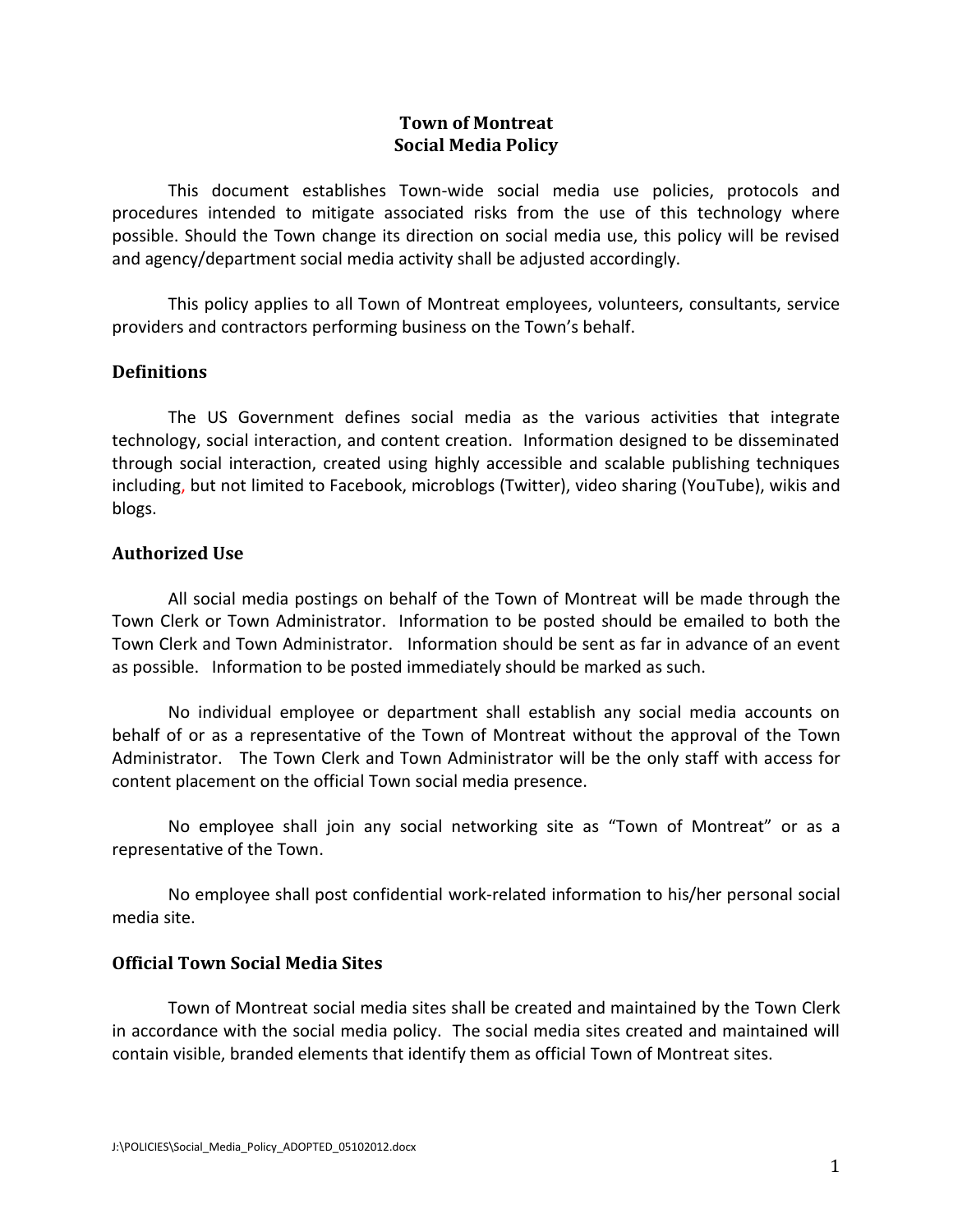# **Town of Montreat Social Media Policy**

This document establishes Town-wide social media use policies, protocols and procedures intended to mitigate associated risks from the use of this technology where possible. Should the Town change its direction on social media use, this policy will be revised and agency/department social media activity shall be adjusted accordingly.

This policy applies to all Town of Montreat employees, volunteers, consultants, service providers and contractors performing business on the Town's behalf.

## **Definitions**

The US Government defines social media as the various activities that integrate technology, social interaction, and content creation. Information designed to be disseminated through social interaction, created using highly accessible and scalable publishing techniques including, but not limited to Facebook, microblogs (Twitter), video sharing (YouTube), wikis and blogs.

## **Authorized Use**

All social media postings on behalf of the Town of Montreat will be made through the Town Clerk or Town Administrator. Information to be posted should be emailed to both the Town Clerk and Town Administrator. Information should be sent as far in advance of an event as possible. Information to be posted immediately should be marked as such.

No individual employee or department shall establish any social media accounts on behalf of or as a representative of the Town of Montreat without the approval of the Town Administrator. The Town Clerk and Town Administrator will be the only staff with access for content placement on the official Town social media presence.

No employee shall join any social networking site as "Town of Montreat" or as a representative of the Town.

No employee shall post confidential work-related information to his/her personal social media site.

#### **Official Town Social Media Sites**

Town of Montreat social media sites shall be created and maintained by the Town Clerk in accordance with the social media policy. The social media sites created and maintained will contain visible, branded elements that identify them as official Town of Montreat sites.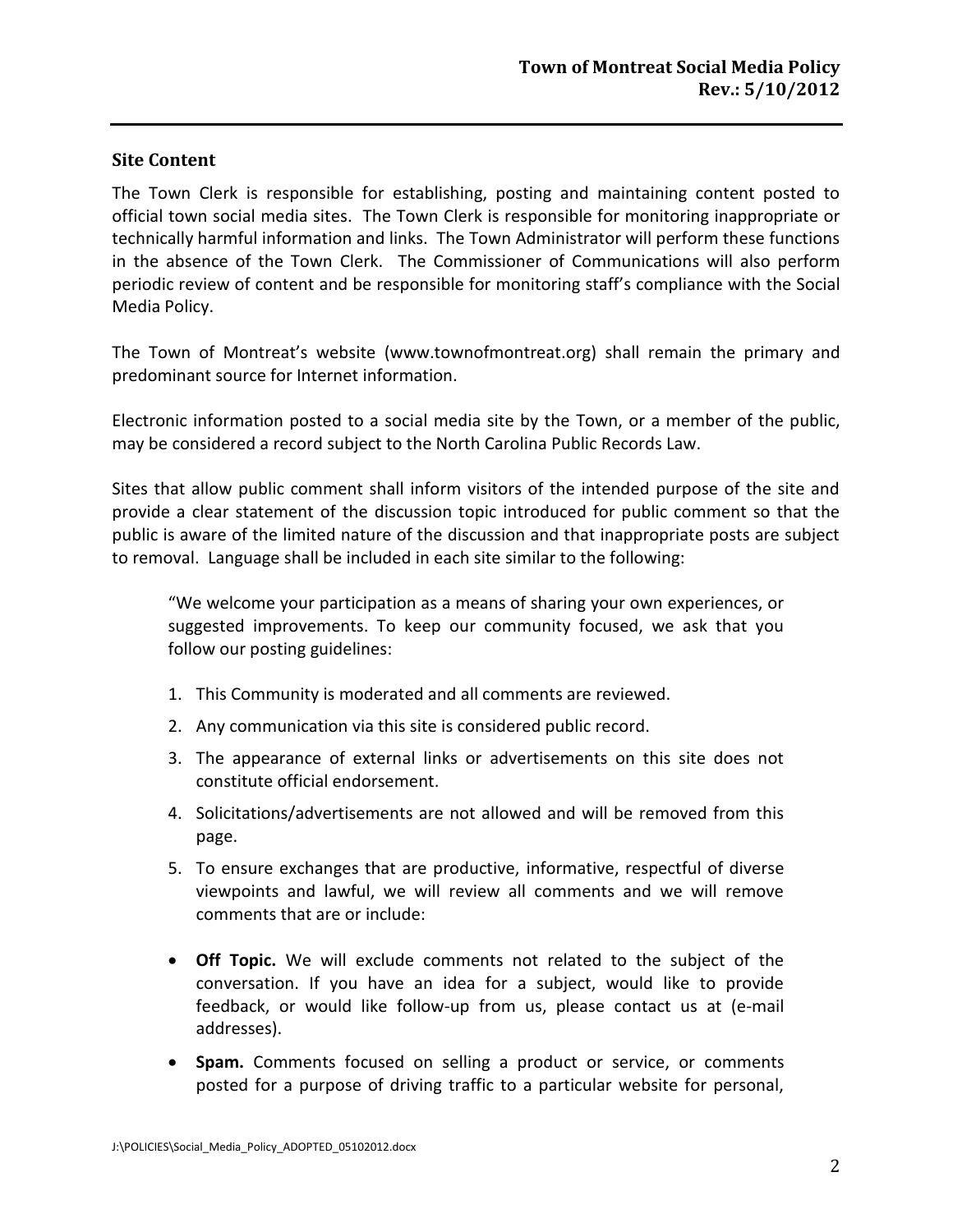# **Site Content**

The Town Clerk is responsible for establishing, posting and maintaining content posted to official town social media sites. The Town Clerk is responsible for monitoring inappropriate or technically harmful information and links. The Town Administrator will perform these functions in the absence of the Town Clerk. The Commissioner of Communications will also perform periodic review of content and be responsible for monitoring staff's compliance with the Social Media Policy.

The Town of Montreat's website (www.townofmontreat.org) shall remain the primary and predominant source for Internet information.

Electronic information posted to a social media site by the Town, or a member of the public, may be considered a record subject to the North Carolina Public Records Law.

Sites that allow public comment shall inform visitors of the intended purpose of the site and provide a clear statement of the discussion topic introduced for public comment so that the public is aware of the limited nature of the discussion and that inappropriate posts are subject to removal. Language shall be included in each site similar to the following:

"We welcome your participation as a means of sharing your own experiences, or suggested improvements. To keep our community focused, we ask that you follow our posting guidelines:

- 1. This Community is moderated and all comments are reviewed.
- 2. Any communication via this site is considered public record.
- 3. The appearance of external links or advertisements on this site does not constitute official endorsement.
- 4. Solicitations/advertisements are not allowed and will be removed from this page.
- 5. To ensure exchanges that are productive, informative, respectful of diverse viewpoints and lawful, we will review all comments and we will remove comments that are or include:
- **Off Topic.** We will exclude comments not related to the subject of the conversation. If you have an idea for a subject, would like to provide feedback, or would like follow-up from us, please contact us at (e-mail addresses).
- **Spam.** Comments focused on selling a product or service, or comments posted for a purpose of driving traffic to a particular website for personal,